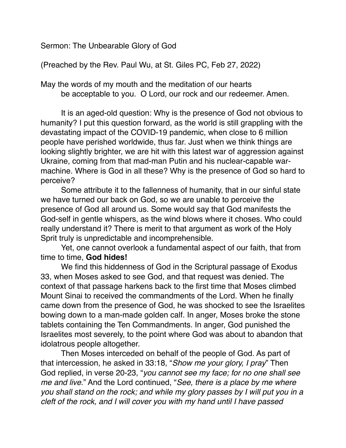Sermon: The Unbearable Glory of God

(Preached by the Rev. Paul Wu, at St. Giles PC, Feb 27, 2022)

May the words of my mouth and the meditation of our hearts be acceptable to you. O Lord, our rock and our redeemer. Amen.

It is an aged-old question: Why is the presence of God not obvious to humanity? I put this question forward, as the world is still grappling with the devastating impact of the COVID-19 pandemic, when close to 6 million people have perished worldwide, thus far. Just when we think things are looking slightly brighter, we are hit with this latest war of aggression against Ukraine, coming from that mad-man Putin and his nuclear-capable warmachine. Where is God in all these? Why is the presence of God so hard to perceive?

Some attribute it to the fallenness of humanity, that in our sinful state we have turned our back on God, so we are unable to perceive the presence of God all around us. Some would say that God manifests the God-self in gentle whispers, as the wind blows where it choses. Who could really understand it? There is merit to that argument as work of the Holy Sprit truly is unpredictable and incomprehensible.

Yet, one cannot overlook a fundamental aspect of our faith, that from time to time, **God hides!**

We find this hiddenness of God in the Scriptural passage of Exodus 33, when Moses asked to see God, and that request was denied. The context of that passage harkens back to the first time that Moses climbed Mount Sinai to received the commandments of the Lord. When he finally came down from the presence of God, he was shocked to see the Israelites bowing down to a man-made golden calf. In anger, Moses broke the stone tablets containing the Ten Commandments. In anger, God punished the Israelites most severely, to the point where God was about to abandon that idolatrous people altogether.

Then Moses interceded on behalf of the people of God. As part of that intercession, he asked in 33:18, "*Show me your glory, I pray*" Then God replied, in verse 20-23, "*you cannot see my face; for no one shall see me and live*." And the Lord continued, "*See, there is a place by me where you shall stand on the rock; and while my glory passes by I will put you in a cleft of the rock, and I will cover you with my hand until I have passed*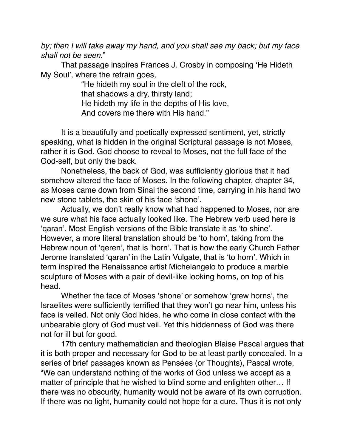*by; then I will take away my hand, and you shall see my back; but my face shall not be seen.*"

That passage inspires Frances J. Crosby in composing 'He Hideth My Soul', where the refrain goes,

> "He hideth my soul in the cleft of the rock, that shadows a dry, thirsty land; He hideth my life in the depths of His love, And covers me there with His hand."

It is a beautifully and poetically expressed sentiment, yet, strictly speaking, what is hidden in the original Scriptural passage is not Moses, rather it is God. God choose to reveal to Moses, not the full face of the God-self, but only the back.

Nonetheless, the back of God, was sufficiently glorious that it had somehow altered the face of Moses. In the following chapter, chapter 34, as Moses came down from Sinai the second time, carrying in his hand two new stone tablets, the skin of his face 'shone'.

Actually, we don't really know what had happened to Moses, nor are we sure what his face actually looked like. The Hebrew verb used here is 'qaran'. Most English versions of the Bible translate it as 'to shine'. However, a more literal translation should be 'to horn', taking from the Hebrew noun of 'qeren', that is 'horn'. That is how the early Church Father Jerome translated 'qaran' in the Latin Vulgate, that is 'to horn'. Which in term inspired the Renaissance artist Michelangelo to produce a marble sculpture of Moses with a pair of devil-like looking horns, on top of his head.

Whether the face of Moses 'shone' or somehow 'grew horns', the Israelites were sufficiently terrified that they won't go near him, unless his face is veiled. Not only God hides, he who come in close contact with the unbearable glory of God must veil. Yet this hiddenness of God was there not for ill but for good.

17th century mathematician and theologian Blaise Pascal argues that it is both proper and necessary for God to be at least partly concealed. In a series of brief passages known as Pensées (or Thoughts), Pascal wrote, "We can understand nothing of the works of God unless we accept as a matter of principle that he wished to blind some and enlighten other… If there was no obscurity, humanity would not be aware of its own corruption. If there was no light, humanity could not hope for a cure. Thus it is not only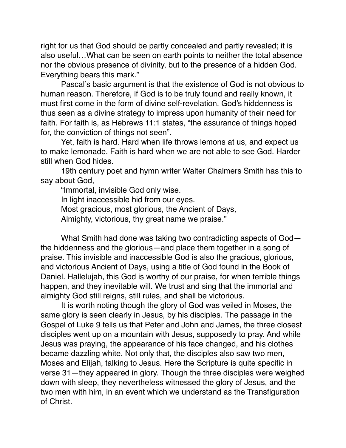right for us that God should be partly concealed and partly revealed; it is also useful…What can be seen on earth points to neither the total absence nor the obvious presence of divinity, but to the presence of a hidden God. Everything bears this mark."

Pascal's basic argument is that the existence of God is not obvious to human reason. Therefore, if God is to be truly found and really known, it must first come in the form of divine self-revelation. God's hiddenness is thus seen as a divine strategy to impress upon humanity of their need for faith. For faith is, as Hebrews 11:1 states, "the assurance of things hoped for, the conviction of things not seen".

Yet, faith is hard. Hard when life throws lemons at us, and expect us to make lemonade. Faith is hard when we are not able to see God. Harder still when God hides.

19th century poet and hymn writer Walter Chalmers Smith has this to say about God,

"Immortal, invisible God only wise.

In light inaccessible hid from our eyes.

Most gracious, most glorious, the Ancient of Days,

Almighty, victorious, thy great name we praise."

What Smith had done was taking two contradicting aspects of God the hiddenness and the glorious—and place them together in a song of praise. This invisible and inaccessible God is also the gracious, glorious, and victorious Ancient of Days, using a title of God found in the Book of Daniel. Hallelujah, this God is worthy of our praise, for when terrible things happen, and they inevitable will. We trust and sing that the immortal and almighty God still reigns, still rules, and shall be victorious.

It is worth noting though the glory of God was veiled in Moses, the same glory is seen clearly in Jesus, by his disciples. The passage in the Gospel of Luke 9 tells us that Peter and John and James, the three closest disciples went up on a mountain with Jesus, supposedly to pray. And while Jesus was praying, the appearance of his face changed, and his clothes became dazzling white. Not only that, the disciples also saw two men, Moses and Elijah, talking to Jesus. Here the Scripture is quite specific in verse 31—they appeared in glory. Though the three disciples were weighed down with sleep, they nevertheless witnessed the glory of Jesus, and the two men with him, in an event which we understand as the Transfiguration of Christ.